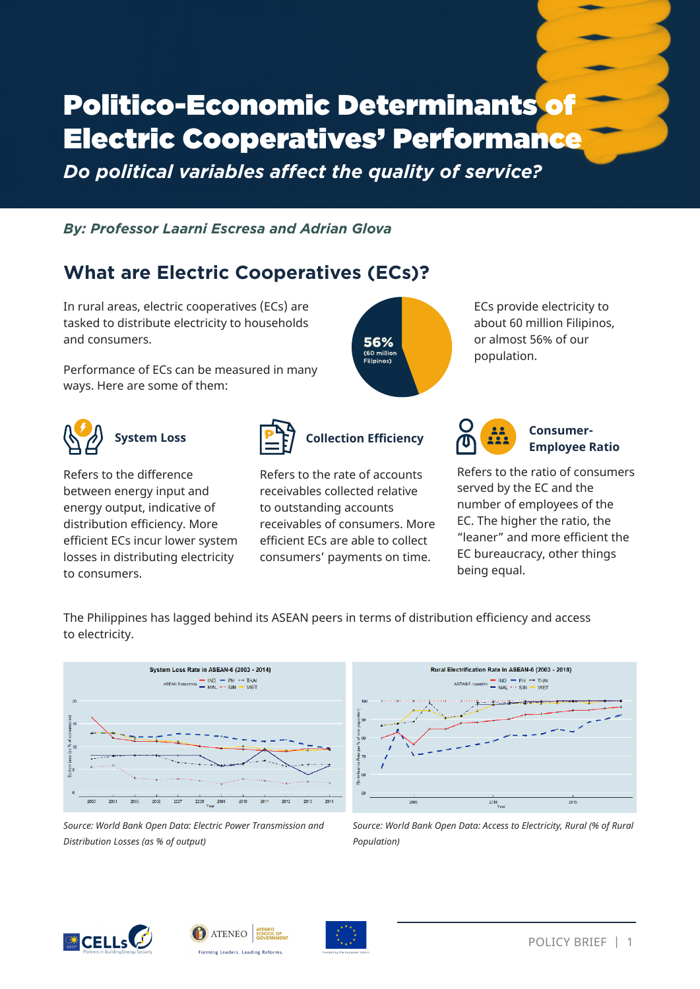# Politico-Economic Determinants of Electric Cooperatives' Performance

*Do political variables affect the quality of service?*

*By: Professor Laarni Escresa and Adrian Glova*

# **What are Electric Cooperatives (ECs)?**

In rural areas, electric cooperatives (ECs) are tasked to distribute electricity to households and consumers.

Performance of ECs can be measured in many ways. Here are some of them:



## **System Loss**

Refers to the difference between energy input and energy output, indicative of distribution efficiency. More efficient ECs incur lower system losses in distributing electricity to consumers.



## **Collection Efficiency**

56% (60 millio Filininos<sup>.</sup>

Refers to the rate of accounts receivables collected relative to outstanding accounts receivables of consumers. More efficient ECs are able to collect consumers' payments on time.

ECs provide electricity to about 60 million Filipinos, or almost 56% of our population.



#### **Consumer-Employee Ratio**

Refers to the ratio of consumers served by the EC and the number of employees of the EC. The higher the ratio, the "leaner" and more efficient the EC bureaucracy, other things being equal.

The Philippines has lagged behind its ASEAN peers in terms of distribution efficiency and access to electricity.



*Source: World Bank Open Data: Electric Power Transmission and Distribution Losses (as % of output)*



*Source: World Bank Open Data: Access to Electricity, Rural (% of Rural Population)* 





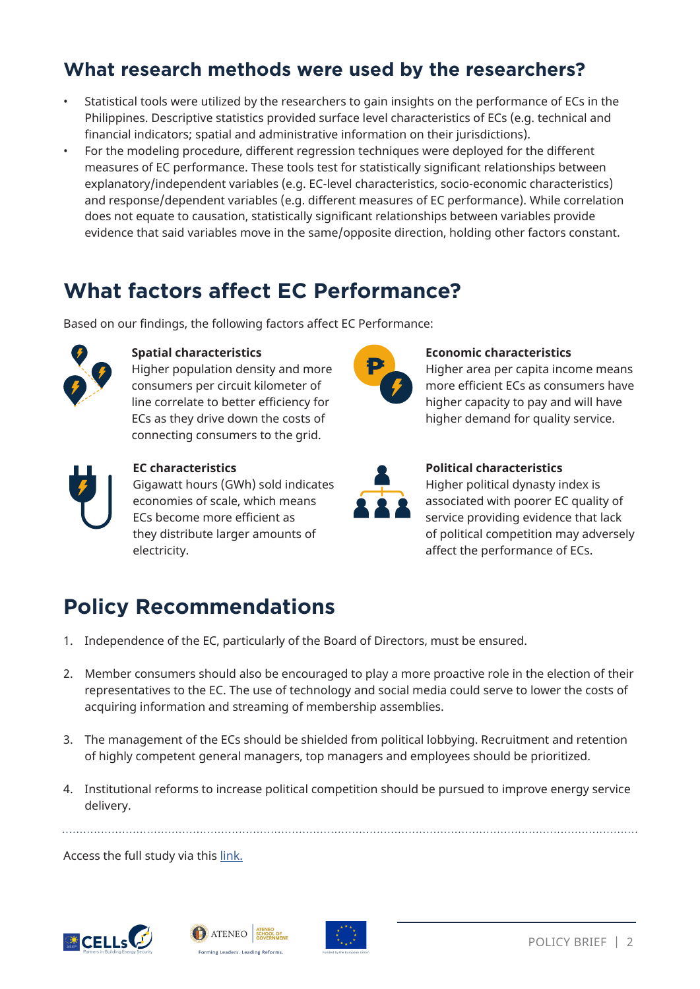## **What research methods were used by the researchers?**

- Statistical tools were utilized by the researchers to gain insights on the performance of ECs in the Philippines. Descriptive statistics provided surface level characteristics of ECs (e.g. technical and financial indicators; spatial and administrative information on their jurisdictions).
- For the modeling procedure, different regression techniques were deployed for the different measures of EC performance. These tools test for statistically significant relationships between explanatory/independent variables (e.g. EC-level characteristics, socio-economic characteristics) and response/dependent variables (e.g. different measures of EC performance). While correlation does not equate to causation, statistically significant relationships between variables provide evidence that said variables move in the same/opposite direction, holding other factors constant.

## **What factors affect EC Performance?**

Based on our findings, the following factors affect EC Performance:



#### **Spatial characteristics**

**EC characteristics**

electricity.

Higher population density and more consumers per circuit kilometer of line correlate to better efficiency for ECs as they drive down the costs of connecting consumers to the grid.

Gigawatt hours (GWh) sold indicates economies of scale, which means ECs become more efficient as they distribute larger amounts of



#### **Economic characteristics**

Higher area per capita income means more efficient ECs as consumers have higher capacity to pay and will have higher demand for quality service.



#### **Political characteristics**

Higher political dynasty index is associated with poorer EC quality of service providing evidence that lack of political competition may adversely affect the performance of ECs.

# **Policy Recommendations**

- 1. Independence of the EC, particularly of the Board of Directors, must be ensured.
- 2. Member consumers should also be encouraged to play a more proactive role in the election of their representatives to the EC. The use of technology and social media could serve to lower the costs of acquiring information and streaming of membership assemblies.
- 3. The management of the ECs should be shielded from political lobbying. Recruitment and retention of highly competent general managers, top managers and employees should be prioritized.
- 4. Institutional reforms to increase political competition should be pursued to improve energy service delivery.

Access the full study via this link.





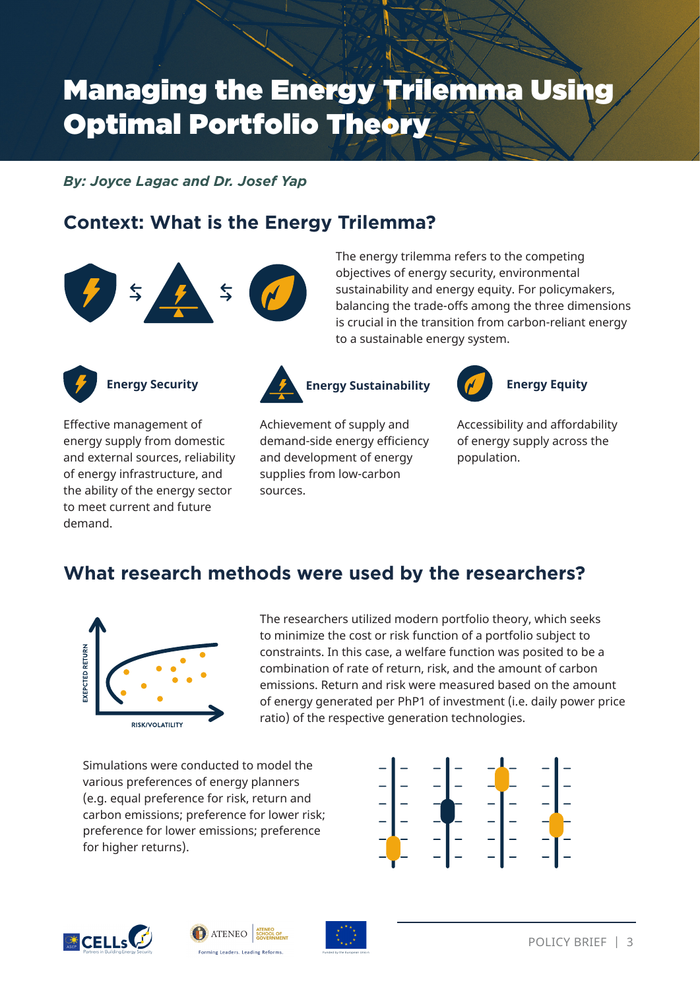# Managing the Energy Trilemma Using Optimal Portfolio Theory

*By: Joyce Lagac and Dr. Josef Yap*

## **Context: What is the Energy Trilemma?**



The energy trilemma refers to the competing objectives of energy security, environmental sustainability and energy equity. For policymakers, balancing the trade-offs among the three dimensions is crucial in the transition from carbon-reliant energy to a sustainable energy system.



### **Energy Security**

Effective management of energy supply from domestic and external sources, reliability of energy infrastructure, and the ability of the energy sector to meet current and future demand.





Achievement of supply and demand-side energy efficiency and development of energy supplies from low-carbon sources.

Accessibility and affordability of energy supply across the population.

**Energy Equity**

## **What research methods were used by the researchers?**



The researchers utilized modern portfolio theory, which seeks to minimize the cost or risk function of a portfolio subject to constraints. In this case, a welfare function was posited to be a combination of rate of return, risk, and the amount of carbon emissions. Return and risk were measured based on the amount of energy generated per PhP1 of investment (i.e. daily power price ratio) of the respective generation technologies.

Simulations were conducted to model the various preferences of energy planners (e.g. equal preference for risk, return and carbon emissions; preference for lower risk; preference for lower emissions; preference for higher returns).







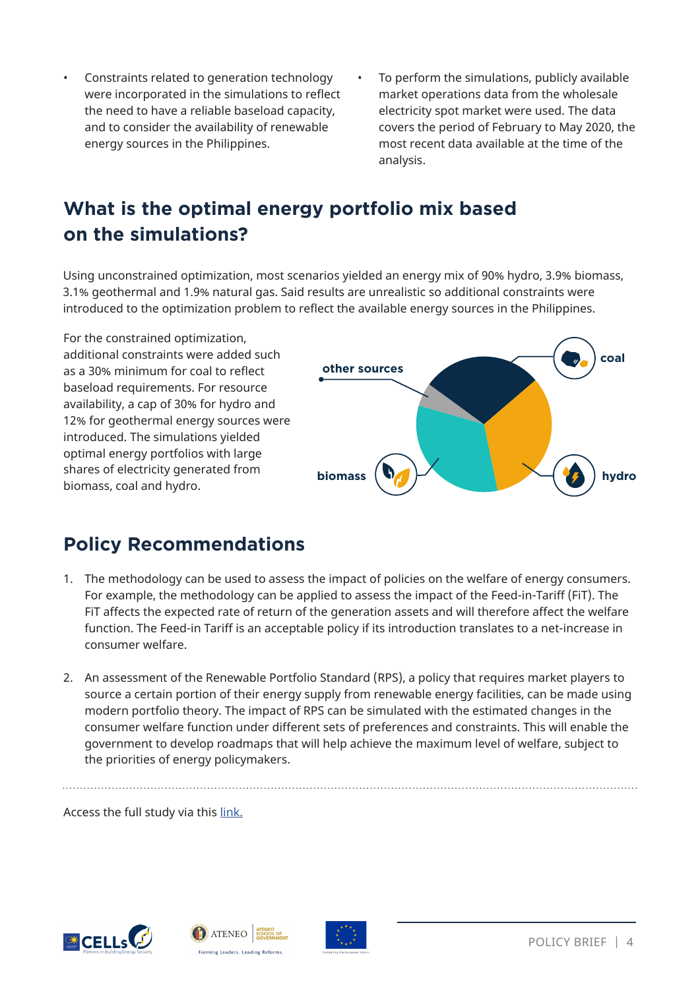- Constraints related to generation technology were incorporated in the simulations to reflect the need to have a reliable baseload capacity, and to consider the availability of renewable energy sources in the Philippines.
- To perform the simulations, publicly available market operations data from the wholesale electricity spot market were used. The data covers the period of February to May 2020, the most recent data available at the time of the analysis.

## **What is the optimal energy portfolio mix based on the simulations?**

Using unconstrained optimization, most scenarios yielded an energy mix of 90% hydro, 3.9% biomass, 3.1% geothermal and 1.9% natural gas. Said results are unrealistic so additional constraints were introduced to the optimization problem to reflect the available energy sources in the Philippines.

For the constrained optimization, additional constraints were added such as a 30% minimum for coal to reflect baseload requirements. For resource availability, a cap of 30% for hydro and 12% for geothermal energy sources were introduced. The simulations yielded optimal energy portfolios with large shares of electricity generated from biomass, coal and hydro.



## **Policy Recommendations**

- 1. The methodology can be used to assess the impact of policies on the welfare of energy consumers. For example, the methodology can be applied to assess the impact of the Feed-in-Tariff (FiT). The FiT affects the expected rate of return of the generation assets and will therefore affect the welfare function. The Feed-in Tariff is an acceptable policy if its introduction translates to a net-increase in consumer welfare.
- 2. An assessment of the Renewable Portfolio Standard (RPS), a policy that requires market players to source a certain portion of their energy supply from renewable energy facilities, can be made using modern portfolio theory. The impact of RPS can be simulated with the estimated changes in the consumer welfare function under different sets of preferences and constraints. This will enable the government to develop roadmaps that will help achieve the maximum level of welfare, subject to the priorities of energy policymakers.

Access the full study via this link.





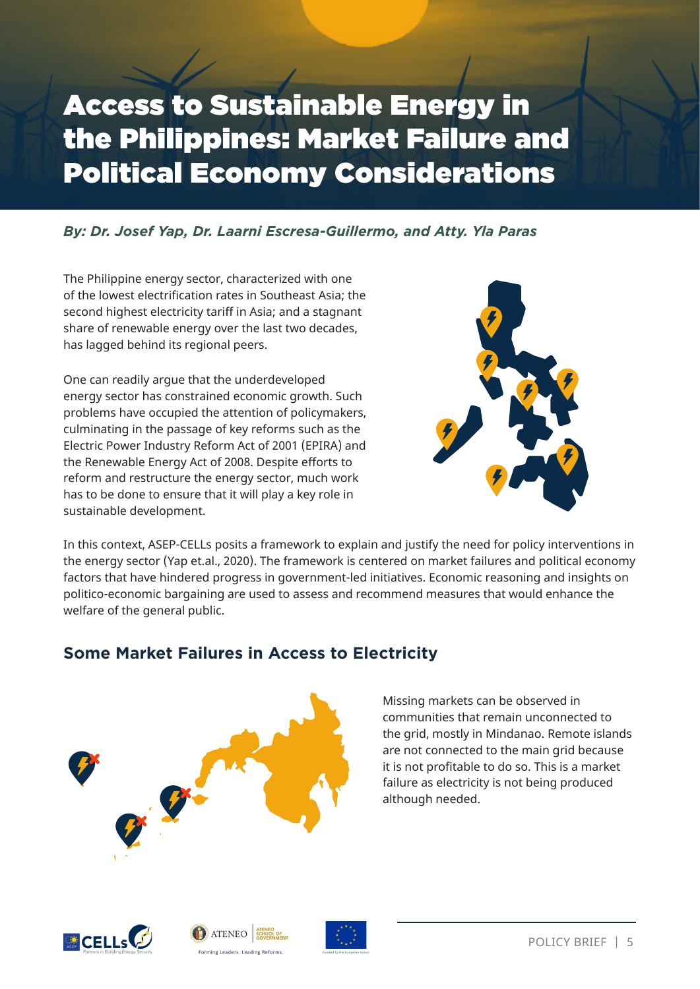# Access to Sustainable Energy in the Philippines: Market Failure and Political Economy Considerations

#### *By: Dr. Josef Yap, Dr. Laarni Escresa-Guillermo, and Atty. Yla Paras*

The Philippine energy sector, characterized with one of the lowest electrification rates in Southeast Asia; the second highest electricity tariff in Asia; and a stagnant share of renewable energy over the last two decades, has lagged behind its regional peers.

One can readily argue that the underdeveloped energy sector has constrained economic growth. Such problems have occupied the attention of policymakers, culminating in the passage of key reforms such as the Electric Power Industry Reform Act of 2001 (EPIRA) and the Renewable Energy Act of 2008. Despite efforts to reform and restructure the energy sector, much work has to be done to ensure that it will play a key role in sustainable development.



In this context, ASEP-CELLs posits a framework to explain and justify the need for policy interventions in the energy sector (Yap et.al., 2020). The framework is centered on market failures and political economy factors that have hindered progress in government-led initiatives. Economic reasoning and insights on politico-economic bargaining are used to assess and recommend measures that would enhance the welfare of the general public.

### **Some Market Failures in Access to Electricity**



#### Missing markets can be observed in communities that remain unconnected to the grid, mostly in Mindanao. Remote islands are not connected to the main grid because it is not profitable to do so. This is a market failure as electricity is not being produced although needed.





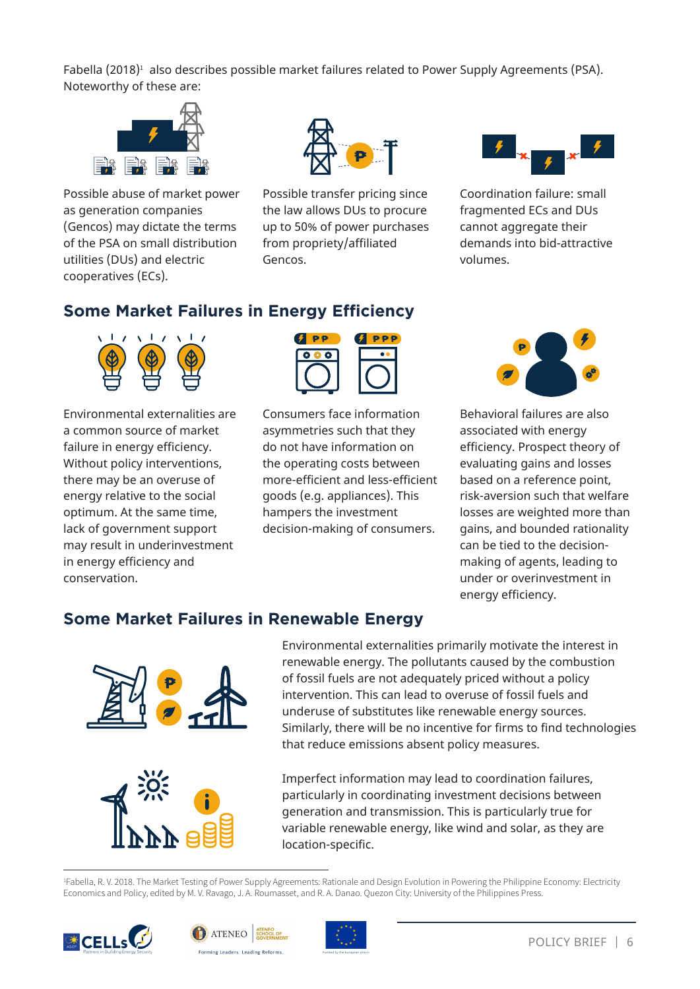Fabella  $(2018)^1$  also describes possible market failures related to Power Supply Agreements (PSA). Noteworthy of these are:



Possible abuse of market power as generation companies (Gencos) may dictate the terms of the PSA on small distribution utilities (DUs) and electric cooperatives (ECs).



Possible transfer pricing since the law allows DUs to procure up to 50% of power purchases from propriety/affiliated Gencos.



Coordination failure: small fragmented ECs and DUs cannot aggregate their demands into bid-attractive volumes.

#### **Some Market Failures in Energy Efficiency**



Environmental externalities are a common source of market failure in energy efficiency. Without policy interventions, there may be an overuse of energy relative to the social optimum. At the same time, lack of government support may result in underinvestment in energy efficiency and conservation.



Consumers face information asymmetries such that they do not have information on the operating costs between more-efficient and less-efficient goods (e.g. appliances). This hampers the investment decision-making of consumers.



Behavioral failures are also associated with energy efficiency. Prospect theory of evaluating gains and losses based on a reference point, risk-aversion such that welfare losses are weighted more than gains, and bounded rationality can be tied to the decisionmaking of agents, leading to under or overinvestment in energy efficiency.

#### **Some Market Failures in Renewable Energy**



Environmental externalities primarily motivate the interest in renewable energy. The pollutants caused by the combustion of fossil fuels are not adequately priced without a policy intervention. This can lead to overuse of fossil fuels and underuse of substitutes like renewable energy sources. Similarly, there will be no incentive for firms to find technologies that reduce emissions absent policy measures.

Imperfect information may lead to coordination failures, particularly in coordinating investment decisions between generation and transmission. This is particularly true for variable renewable energy, like wind and solar, as they are location-specific.

1 Fabella, R. V. 2018. The Market Testing of Power Supply Agreements: Rationale and Design Evolution in Powering the Philippine Economy: Electricity Economics and Policy, edited by M. V. Ravago, J. A. Roumasset, and R. A. Danao. Quezon City: University of the Philippines Press.